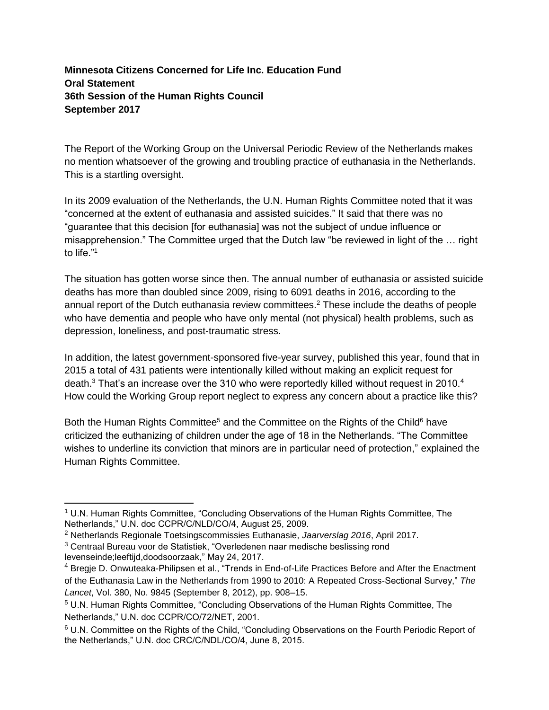## **Minnesota Citizens Concerned for Life Inc. Education Fund Oral Statement 36th Session of the Human Rights Council September 2017**

The Report of the Working Group on the Universal Periodic Review of the Netherlands makes no mention whatsoever of the growing and troubling practice of euthanasia in the Netherlands. This is a startling oversight.

In its 2009 evaluation of the Netherlands, the U.N. Human Rights Committee noted that it was "concerned at the extent of euthanasia and assisted suicides." It said that there was no "guarantee that this decision [for euthanasia] was not the subject of undue influence or misapprehension." The Committee urged that the Dutch law "be reviewed in light of the … right to life."<sup>1</sup>

The situation has gotten worse since then. The annual number of euthanasia or assisted suicide deaths has more than doubled since 2009, rising to 6091 deaths in 2016, according to the annual report of the Dutch euthanasia review committees.<sup>2</sup> These include the deaths of people who have dementia and people who have only mental (not physical) health problems, such as depression, loneliness, and post-traumatic stress.

In addition, the latest government-sponsored five-year survey, published this year, found that in 2015 a total of 431 patients were intentionally killed without making an explicit request for death. $3$  That's an increase over the 310 who were reportedly killed without request in 2010.<sup>4</sup> How could the Working Group report neglect to express any concern about a practice like this?

Both the Human Rights Committee<sup>5</sup> and the Committee on the Rights of the Child<sup>6</sup> have criticized the euthanizing of children under the age of 18 in the Netherlands. "The Committee wishes to underline its conviction that minors are in particular need of protection," explained the Human Rights Committee.

<sup>3</sup> Centraal Bureau voor de Statistiek, "Overledenen naar medische beslissing rond levenseinde;leeftijd,doodsoorzaak," May 24, 2017.

 $\overline{a}$ 

<sup>1</sup> U.N. Human Rights Committee, "Concluding Observations of the Human Rights Committee, The Netherlands," U.N. doc CCPR/C/NLD/CO/4, August 25, 2009.

<sup>2</sup> Netherlands Regionale Toetsingscommissies Euthanasie, *Jaarverslag 2016*, April 2017.

<sup>4</sup> Bregje D. Onwuteaka-Philipsen et al., "Trends in End-of-Life Practices Before and After the Enactment of the Euthanasia Law in the Netherlands from 1990 to 2010: A Repeated Cross-Sectional Survey," *The Lancet*, Vol. 380, No. 9845 (September 8, 2012), pp. 908–15.

<sup>5</sup> U.N. Human Rights Committee, "Concluding Observations of the Human Rights Committee, The Netherlands," U.N. doc CCPR/CO/72/NET, 2001.

<sup>6</sup> U.N. Committee on the Rights of the Child, "Concluding Observations on the Fourth Periodic Report of the Netherlands," U.N. doc CRC/C/NDL/CO/4, June 8, 2015.